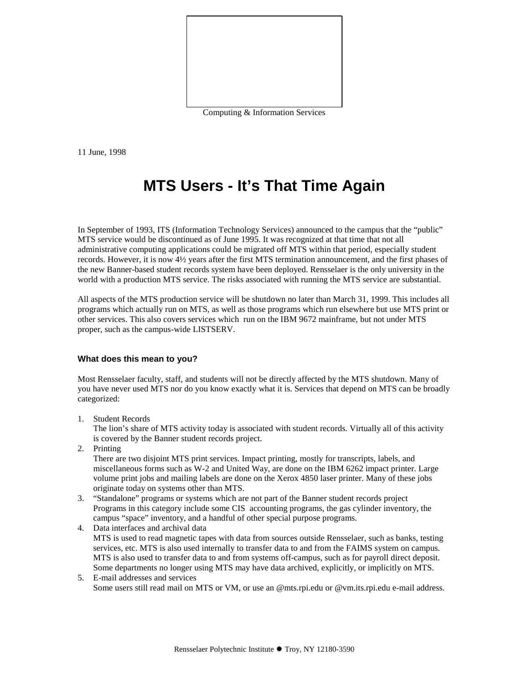

Computing & Information Services

11 June, 1998

# **MTS Users - It's That Time Again**

In September of 1993, ITS (Information Technology Services) announced to the campus that the "public" MTS service would be discontinued as of June 1995. It was recognized at that time that not all administrative computing applications could be migrated off MTS within that period, especially student records. However, it is now 4½ years after the first MTS termination announcement, and the first phases of the new Banner-based student records system have been deployed. Rensselaer is the only university in the world with a production MTS service. The risks associated with running the MTS service are substantial.

All aspects of the MTS production service will be shutdown no later than March 31, 1999. This includes all programs which actually run on MTS, as well as those programs which run elsewhere but use MTS print or other services. This also covers services which run on the IBM 9672 mainframe, but not under MTS proper, such as the campus-wide LISTSERV.

#### **What does this mean to you?**

Most Rensselaer faculty, staff, and students will not be directly affected by the MTS shutdown. Many of you have never used MTS nor do you know exactly what it is. Services that depend on MTS can be broadly categorized:

1. Student Records

The lion's share of MTS activity today is associated with student records. Virtually all of this activity is covered by the Banner student records project.

2. Printing

There are two disjoint MTS print services. Impact printing, mostly for transcripts, labels, and miscellaneous forms such as W-2 and United Way, are done on the IBM 6262 impact printer. Large volume print jobs and mailing labels are done on the Xerox 4850 laser printer. Many of these jobs originate today on systems other than MTS.

- 3. "Standalone" programs or systems which are not part of the Banner student records project Programs in this category include some CIS accounting programs, the gas cylinder inventory, the campus "space" inventory, and a handful of other special purpose programs.
- 4. Data interfaces and archival data MTS is used to read magnetic tapes with data from sources outside Rensselaer, such as banks, testing services, etc. MTS is also used internally to transfer data to and from the FAIMS system on campus. MTS is also used to transfer data to and from systems off-campus, such as for payroll direct deposit. Some departments no longer using MTS may have data archived, explicitly, or implicitly on MTS.
- 5. E-mail addresses and services Some users still read mail on MTS or VM, or use an @mts.rpi.edu or @vm.its.rpi.edu e-mail address.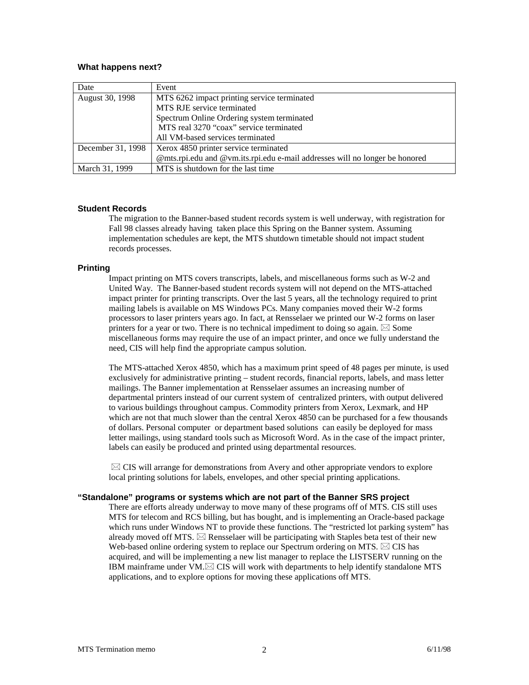## **What happens next?**

| Date              | Event                                                                       |
|-------------------|-----------------------------------------------------------------------------|
| August 30, 1998   | MTS 6262 impact printing service terminated                                 |
|                   | MTS RJE service terminated                                                  |
|                   | Spectrum Online Ordering system terminated                                  |
|                   | MTS real 3270 "coax" service terminated                                     |
|                   | All VM-based services terminated                                            |
| December 31, 1998 | Xerox 4850 printer service terminated                                       |
|                   | @mts.rpi.edu and @vm.its.rpi.edu e-mail addresses will no longer be honored |
| March 31, 1999    | MTS is shutdown for the last time.                                          |

## **Student Records**

The migration to the Banner-based student records system is well underway, with registration for Fall 98 classes already having taken place this Spring on the Banner system. Assuming implementation schedules are kept, the MTS shutdown timetable should not impact student records processes.

## **Printing**

Impact printing on MTS covers transcripts, labels, and miscellaneous forms such as W-2 and United Way. The Banner-based student records system will not depend on the MTS-attached impact printer for printing transcripts. Over the last 5 years, all the technology required to print mailing labels is available on MS Windows PCs. Many companies moved their W-2 forms processors to laser printers years ago. In fact, at Rensselaer we printed our W-2 forms on laser printers for a year or two. There is no technical impediment to doing so again.  $\boxtimes$  Some miscellaneous forms may require the use of an impact printer, and once we fully understand the need, CIS will help find the appropriate campus solution.

The MTS-attached Xerox 4850, which has a maximum print speed of 48 pages per minute, is used exclusively for administrative printing – student records, financial reports, labels, and mass letter mailings. The Banner implementation at Rensselaer assumes an increasing number of departmental printers instead of our current system of centralized printers, with output delivered to various buildings throughout campus. Commodity printers from Xerox, Lexmark, and HP which are not that much slower than the central Xerox 4850 can be purchased for a few thousands of dollars. Personal computer or department based solutions can easily be deployed for mass letter mailings, using standard tools such as Microsoft Word. As in the case of the impact printer, labels can easily be produced and printed using departmental resources.

 $\boxtimes$  CIS will arrange for demonstrations from Avery and other appropriate vendors to explore local printing solutions for labels, envelopes, and other special printing applications.

# **"Standalone" programs or systems which are not part of the Banner SRS project**

There are efforts already underway to move many of these programs off of MTS. CIS still uses MTS for telecom and RCS billing, but has bought, and is implementing an Oracle-based package which runs under Windows NT to provide these functions. The "restricted lot parking system" has already moved off MTS.  $\boxtimes$  Rensselaer will be participating with Staples beta test of their new Web-based online ordering system to replace our Spectrum ordering on MTS.  $\boxtimes$  CIS has acquired, and will be implementing a new list manager to replace the LISTSERV running on the IBM mainframe under VM. $\boxtimes$  CIS will work with departments to help identify standalone MTS applications, and to explore options for moving these applications off MTS.